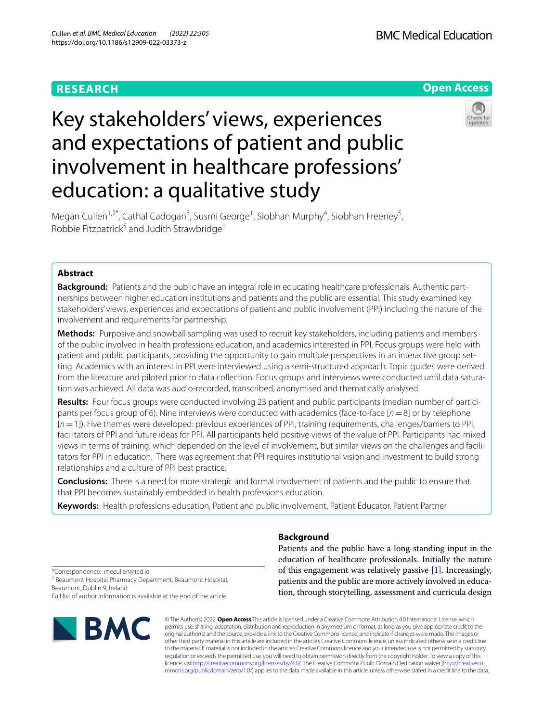# **RESEARCH**



# Key stakeholders' views, experiences and expectations of patient and public involvement in healthcare professions' education: a qualitative study



Megan Cullen<sup>1,2\*</sup>, Cathal Cadogan<sup>3</sup>, Susmi George<sup>1</sup>, Siobhan Murphy<sup>4</sup>, Siobhan Freeney<sup>5</sup>, Robbie Fitzpatrick<sup>5</sup> and Judith Strawbridge<sup>1</sup>

# **Abstract**

**Background:** Patients and the public have an integral role in educating healthcare professionals. Authentic partnerships between higher education institutions and patients and the public are essential. This study examined key stakeholders' views, experiences and expectations of patient and public involvement (PPI) including the nature of the involvement and requirements for partnership.

**Methods:** Purposive and snowball sampling was used to recruit key stakeholders, including patients and members of the public involved in health professions education, and academics interested in PPI. Focus groups were held with patient and public participants, providing the opportunity to gain multiple perspectives in an interactive group setting. Academics with an interest in PPI were interviewed using a semi-structured approach. Topic guides were derived from the literature and piloted prior to data collection. Focus groups and interviews were conducted until data saturation was achieved. All data was audio-recorded, transcribed, anonymised and thematically analysed.

**Results:** Four focus groups were conducted involving 23 patient and public participants (median number of participants per focus group of 6). Nine interviews were conducted with academics (face-to-face [*n*=8] or by telephone [*n*=1]). Five themes were developed: previous experiences of PPI, training requirements, challenges/barriers to PPI, facilitators of PPI and future ideas for PPI. All participants held positive views of the value of PPI. Participants had mixed views in terms of training, which depended on the level of involvement, but similar views on the challenges and facilitators for PPI in education. There was agreement that PPI requires institutional vision and investment to build strong relationships and a culture of PPI best practice.

**Conclusions:** There is a need for more strategic and formal involvement of patients and the public to ensure that that PPI becomes sustainably embedded in health professions education.

**Keywords:** Health professions education, Patient and public involvement, Patient Educator, Patient Partner

# **Background**

Patients and the public have a long-standing input in the education of healthcare professionals. Initially the nature of this engagement was relatively passive [\[1](#page-10-0)]. Increasingly, patients and the public are more actively involved in education, through storytelling, assessment and curricula design

\*Correspondence: mecullen@tcd.ie <sup>2</sup> Beaumont Hospital Pharmacy Department, Beaumont Hospital, Beaumont, Dublin 9, Ireland Full list of author information is available at the end of the article



© The Author(s) 2022. **Open Access** This article is licensed under a Creative Commons Attribution 4.0 International License, which permits use, sharing, adaptation, distribution and reproduction in any medium or format, as long as you give appropriate credit to the original author(s) and the source, provide a link to the Creative Commons licence, and indicate if changes were made. The images or other third party material in this article are included in the article's Creative Commons licence, unless indicated otherwise in a credit line to the material. If material is not included in the article's Creative Commons licence and your intended use is not permitted by statutory regulation or exceeds the permitted use, you will need to obtain permission directly from the copyright holder. To view a copy of this licence, visi[thttp://creativecommons.org/licenses/by/4.0/](http://creativecommons.org/licenses/by/4.0/). The Creative Commons Public Domain Dedication waiver [\(http://creativeco](http://creativecommons.org/publicdomain/zero/1.0/) [mmons.org/publicdomain/zero/1.0/](http://creativecommons.org/publicdomain/zero/1.0/)) applies to the data made available in this article, unless otherwise stated in a credit line to the data.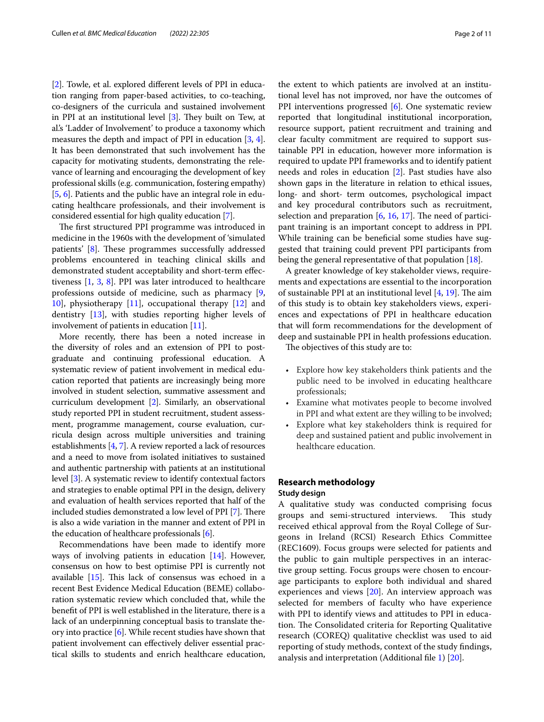[[2\]](#page-10-1). Towle, et al. explored diferent levels of PPI in education ranging from paper-based activities, to co-teaching, co-designers of the curricula and sustained involvement in PPI at an institutional level  $[3]$  $[3]$  $[3]$ . They built on Tew, at al.'s 'Ladder of Involvement' to produce a taxonomy which measures the depth and impact of PPI in education [[3](#page-10-2), [4](#page-10-3)]. It has been demonstrated that such involvement has the capacity for motivating students, demonstrating the relevance of learning and encouraging the development of key professional skills (e.g. communication, fostering empathy) [[5,](#page-10-4) [6](#page-10-5)]. Patients and the public have an integral role in educating healthcare professionals, and their involvement is considered essential for high quality education [\[7\]](#page-10-6).

The first structured PPI programme was introduced in medicine in the 1960s with the development of 'simulated patients' [[8\]](#page-10-7). These programmes successfully addressed problems encountered in teaching clinical skills and demonstrated student acceptability and short-term efectiveness [[1,](#page-10-0) [3,](#page-10-2) [8](#page-10-7)]. PPI was later introduced to healthcare professions outside of medicine, such as pharmacy [\[9](#page-10-8), [10\]](#page-10-9), physiotherapy [[11\]](#page-10-10), occupational therapy [[12\]](#page-10-11) and dentistry [[13\]](#page-10-12), with studies reporting higher levels of involvement of patients in education [\[11](#page-10-10)].

More recently, there has been a noted increase in the diversity of roles and an extension of PPI to postgraduate and continuing professional education. A systematic review of patient involvement in medical education reported that patients are increasingly being more involved in student selection, summative assessment and curriculum development [\[2\]](#page-10-1). Similarly, an observational study reported PPI in student recruitment, student assessment, programme management, course evaluation, curricula design across multiple universities and training establishments [\[4](#page-10-3), [7](#page-10-6)]. A review reported a lack of resources and a need to move from isolated initiatives to sustained and authentic partnership with patients at an institutional level [\[3](#page-10-2)]. A systematic review to identify contextual factors and strategies to enable optimal PPI in the design, delivery and evaluation of health services reported that half of the included studies demonstrated a low level of PPI [\[7\]](#page-10-6). There is also a wide variation in the manner and extent of PPI in the education of healthcare professionals  $[6]$  $[6]$ .

Recommendations have been made to identify more ways of involving patients in education [[14](#page-10-13)]. However, consensus on how to best optimise PPI is currently not available  $[15]$ . This lack of consensus was echoed in a recent Best Evidence Medical Education (BEME) collaboration systematic review which concluded that, while the beneft of PPI is well established in the literature, there is a lack of an underpinning conceptual basis to translate theory into practice [\[6](#page-10-5)]. While recent studies have shown that patient involvement can efectively deliver essential practical skills to students and enrich healthcare education,

the extent to which patients are involved at an institutional level has not improved, nor have the outcomes of PPI interventions progressed [[6\]](#page-10-5). One systematic review reported that longitudinal institutional incorporation, resource support, patient recruitment and training and clear faculty commitment are required to support sustainable PPI in education, however more information is required to update PPI frameworks and to identify patient needs and roles in education [\[2](#page-10-1)]. Past studies have also shown gaps in the literature in relation to ethical issues, long- and short- term outcomes, psychological impact and key procedural contributors such as recruitment, selection and preparation  $[6, 16, 17]$  $[6, 16, 17]$  $[6, 16, 17]$  $[6, 16, 17]$  $[6, 16, 17]$  $[6, 16, 17]$  $[6, 16, 17]$ . The need of participant training is an important concept to address in PPI. While training can be benefcial some studies have suggested that training could prevent PPI participants from being the general representative of that population [[18](#page-10-17)].

A greater knowledge of key stakeholder views, requirements and expectations are essential to the incorporation of sustainable PPI at an institutional level  $[4, 19]$  $[4, 19]$  $[4, 19]$ . The aim of this study is to obtain key stakeholders views, experiences and expectations of PPI in healthcare education that will form recommendations for the development of deep and sustainable PPI in health professions education.

The objectives of this study are to:

- Explore how key stakeholders think patients and the public need to be involved in educating healthcare professionals;
- Examine what motivates people to become involved in PPI and what extent are they willing to be involved;
- Explore what key stakeholders think is required for deep and sustained patient and public involvement in healthcare education.

## **Research methodology**

## **Study design**

A qualitative study was conducted comprising focus groups and semi-structured interviews. This study received ethical approval from the Royal College of Surgeons in Ireland (RCSI) Research Ethics Committee (REC1609). Focus groups were selected for patients and the public to gain multiple perspectives in an interactive group setting. Focus groups were chosen to encourage participants to explore both individual and shared experiences and views [[20](#page-10-19)]. An interview approach was selected for members of faculty who have experience with PPI to identify views and attitudes to PPI in education. The Consolidated criteria for Reporting Qualitative research (COREQ) qualitative checklist was used to aid reporting of study methods, context of the study fndings, analysis and interpretation (Additional fle [1](#page-9-0)) [\[20\]](#page-10-19).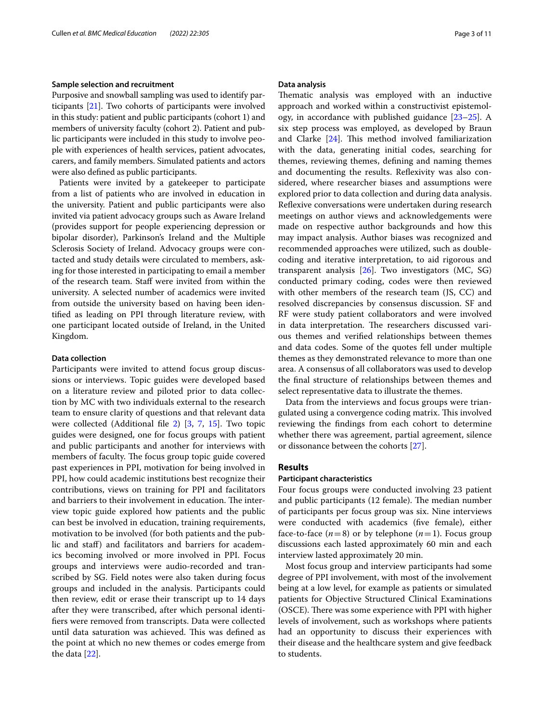#### **Sample selection and recruitment**

Purposive and snowball sampling was used to identify participants [[21](#page-10-20)]. Two cohorts of participants were involved in this study: patient and public participants (cohort 1) and members of university faculty (cohort 2). Patient and public participants were included in this study to involve people with experiences of health services, patient advocates, carers, and family members. Simulated patients and actors were also defned as public participants.

Patients were invited by a gatekeeper to participate from a list of patients who are involved in education in the university. Patient and public participants were also invited via patient advocacy groups such as Aware Ireland (provides support for people experiencing depression or bipolar disorder), Parkinson's Ireland and the Multiple Sclerosis Society of Ireland. Advocacy groups were contacted and study details were circulated to members, asking for those interested in participating to email a member of the research team. Staf were invited from within the university. A selected number of academics were invited from outside the university based on having been identifed as leading on PPI through literature review, with one participant located outside of Ireland, in the United Kingdom.

# **Data collection**

Participants were invited to attend focus group discussions or interviews. Topic guides were developed based on a literature review and piloted prior to data collection by MC with two individuals external to the research team to ensure clarity of questions and that relevant data were collected (Additional file [2](#page-9-1)) [\[3](#page-10-2), [7,](#page-10-6) [15\]](#page-10-14). Two topic guides were designed, one for focus groups with patient and public participants and another for interviews with members of faculty. The focus group topic guide covered past experiences in PPI, motivation for being involved in PPI, how could academic institutions best recognize their contributions, views on training for PPI and facilitators and barriers to their involvement in education. The interview topic guide explored how patients and the public can best be involved in education, training requirements, motivation to be involved (for both patients and the public and staf) and facilitators and barriers for academics becoming involved or more involved in PPI. Focus groups and interviews were audio-recorded and transcribed by SG. Field notes were also taken during focus groups and included in the analysis. Participants could then review, edit or erase their transcript up to 14 days after they were transcribed, after which personal identifers were removed from transcripts. Data were collected until data saturation was achieved. This was defined as the point at which no new themes or codes emerge from the data [\[22\]](#page-10-21).

## **Data analysis**

Thematic analysis was employed with an inductive approach and worked within a constructivist epistemology, in accordance with published guidance [[23](#page-10-22)[–25](#page-10-23)]. A six step process was employed, as developed by Braun and Clarke  $[24]$  $[24]$ . This method involved familiarization with the data, generating initial codes, searching for themes, reviewing themes, defning and naming themes and documenting the results. Refexivity was also considered, where researcher biases and assumptions were explored prior to data collection and during data analysis. Refexive conversations were undertaken during research meetings on author views and acknowledgements were made on respective author backgrounds and how this may impact analysis. Author biases was recognized and recommended approaches were utilized, such as doublecoding and iterative interpretation, to aid rigorous and transparent analysis [[26\]](#page-10-25). Two investigators (MC, SG) conducted primary coding, codes were then reviewed with other members of the research team (JS, CC) and resolved discrepancies by consensus discussion. SF and RF were study patient collaborators and were involved in data interpretation. The researchers discussed various themes and verifed relationships between themes and data codes. Some of the quotes fell under multiple themes as they demonstrated relevance to more than one area. A consensus of all collaborators was used to develop the fnal structure of relationships between themes and select representative data to illustrate the themes.

Data from the interviews and focus groups were triangulated using a convergence coding matrix. This involved reviewing the fndings from each cohort to determine whether there was agreement, partial agreement, silence or dissonance between the cohorts [[27\]](#page-10-26).

# **Results**

#### **Participant characteristics**

Four focus groups were conducted involving 23 patient and public participants (12 female). The median number of participants per focus group was six. Nine interviews were conducted with academics (fve female), either face-to-face  $(n=8)$  or by telephone  $(n=1)$ . Focus group discussions each lasted approximately 60 min and each interview lasted approximately 20 min.

Most focus group and interview participants had some degree of PPI involvement, with most of the involvement being at a low level, for example as patients or simulated patients for Objective Structured Clinical Examinations (OSCE). There was some experience with PPI with higher levels of involvement, such as workshops where patients had an opportunity to discuss their experiences with their disease and the healthcare system and give feedback to students.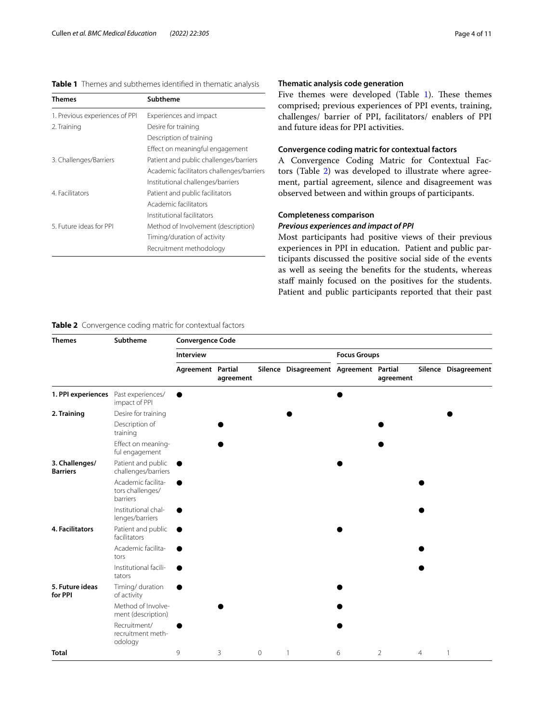# <span id="page-3-0"></span>**Table 1** Themes and subthemes identifed in thematic analysis

| Themes                         | Subtheme                                  |  |  |  |  |  |
|--------------------------------|-------------------------------------------|--|--|--|--|--|
| 1. Previous experiences of PPI | Experiences and impact                    |  |  |  |  |  |
| 2. Training                    | Desire for training                       |  |  |  |  |  |
|                                | Description of training                   |  |  |  |  |  |
|                                | Effect on meaningful engagement           |  |  |  |  |  |
| 3. Challenges/Barriers         | Patient and public challenges/barriers    |  |  |  |  |  |
|                                | Academic facilitators challenges/barriers |  |  |  |  |  |
|                                | Institutional challenges/barriers         |  |  |  |  |  |
| 4. Facilitators                | Patient and public facilitators           |  |  |  |  |  |
|                                | Academic facilitators                     |  |  |  |  |  |
|                                | Institutional facilitators                |  |  |  |  |  |
| 5 Euture ideas for PPL         | Method of Involvement (description)       |  |  |  |  |  |
|                                | Timing/duration of activity               |  |  |  |  |  |
|                                | Recruitment methodology                   |  |  |  |  |  |
|                                |                                           |  |  |  |  |  |

# **Thematic analysis code generation**

Five themes were developed (Table [1](#page-3-0)). These themes comprised; previous experiences of PPI events, training, challenges/ barrier of PPI, facilitators/ enablers of PPI and future ideas for PPI activities.

## **Convergence coding matric for contextual factors**

A Convergence Coding Matric for Contextual Factors (Table [2](#page-3-1)) was developed to illustrate where agreement, partial agreement, silence and disagreement was observed between and within groups of participants.

# **Completeness comparison**

# *Previous experiences and impact of PPI*

Most participants had positive views of their previous experiences in PPI in education. Patient and public participants discussed the positive social side of the events as well as seeing the benefts for the students, whereas staff mainly focused on the positives for the students. Patient and public participants reported that their past

# <span id="page-3-1"></span>**Table 2** Convergence coding matric for contextual factors

| <b>Themes</b>                     | Subtheme                                           | <b>Convergence Code</b> |           |             |                                        |                     |           |   |                      |  |
|-----------------------------------|----------------------------------------------------|-------------------------|-----------|-------------|----------------------------------------|---------------------|-----------|---|----------------------|--|
|                                   |                                                    | Interview               |           |             |                                        | <b>Focus Groups</b> |           |   |                      |  |
|                                   |                                                    | Agreement Partial       | agreement |             | Silence Disagreement Agreement Partial |                     | agreement |   | Silence Disagreement |  |
| 1. PPI experiences                | Past experiences/<br>impact of PPI                 |                         |           |             |                                        |                     |           |   |                      |  |
| 2. Training                       | Desire for training                                |                         |           |             |                                        |                     |           |   |                      |  |
|                                   | Description of<br>training                         |                         |           |             |                                        |                     |           |   |                      |  |
|                                   | Effect on meaning-<br>ful engagement               |                         |           |             |                                        |                     |           |   |                      |  |
| 3. Challenges/<br><b>Barriers</b> | Patient and public<br>challenges/barriers          |                         |           |             |                                        |                     |           |   |                      |  |
|                                   | Academic facilita-<br>tors challenges/<br>barriers |                         |           |             |                                        |                     |           |   |                      |  |
|                                   | Institutional chal-<br>lenges/barriers             |                         |           |             |                                        |                     |           |   |                      |  |
| <b>4. Facilitators</b>            | Patient and public<br>facilitators                 |                         |           |             |                                        |                     |           |   |                      |  |
|                                   | Academic facilita-<br>tors                         |                         |           |             |                                        |                     |           |   |                      |  |
|                                   | Institutional facili-<br>tators                    |                         |           |             |                                        |                     |           |   |                      |  |
| 5. Future ideas<br>for PPI        | Timing/ duration<br>of activity                    |                         |           |             |                                        |                     |           |   |                      |  |
|                                   | Method of Involve-<br>ment (description)           |                         |           |             |                                        |                     |           |   |                      |  |
|                                   | Recruitment/<br>recruitment meth-<br>odology       |                         |           |             |                                        |                     |           |   |                      |  |
| <b>Total</b>                      |                                                    | 9                       | 3         | $\mathbf 0$ | $\mathbf{1}$                           | 6                   | 2         | 4 | 1                    |  |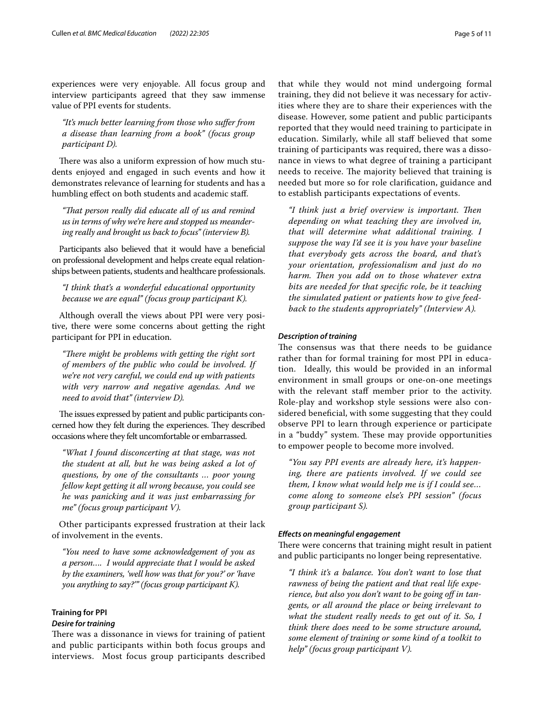experiences were very enjoyable. All focus group and interview participants agreed that they saw immense value of PPI events for students.

*"It's much better learning from those who sufer from a disease than learning from a book" (focus group participant D).*

There was also a uniform expression of how much students enjoyed and engaged in such events and how it demonstrates relevance of learning for students and has a humbling effect on both students and academic staff.

*"Tat person really did educate all of us and remind us in terms of why we're here and stopped us meandering really and brought us back to focus" (interview B).*

Participants also believed that it would have a beneficial on professional development and helps create equal relationships between patients, students and healthcare professionals.

*"I think that's a wonderful educational opportunity because we are equal" (focus group participant K).*

Although overall the views about PPI were very positive, there were some concerns about getting the right participant for PPI in education.

"There might be problems with getting the right sort *of members of the public who could be involved. If we're not very careful, we could end up with patients with very narrow and negative agendas. And we need to avoid that" (interview D).*

The issues expressed by patient and public participants concerned how they felt during the experiences. They described occasions where they felt uncomfortable or embarrassed.

*"What I found disconcerting at that stage, was not the student at all, but he was being asked a lot of questions, by one of the consultants … poor young fellow kept getting it all wrong because, you could see he was panicking and it was just embarrassing for me" (focus group participant V).*

Other participants expressed frustration at their lack of involvement in the events.

*"You need to have some acknowledgement of you as a person…. I would appreciate that I would be asked by the examiners, 'well how was that for you?' or 'have you anything to say?'" (focus group participant K).*

# **Training for PPI**

#### *Desire for training*

There was a dissonance in views for training of patient and public participants within both focus groups and interviews. Most focus group participants described

that while they would not mind undergoing formal training, they did not believe it was necessary for activities where they are to share their experiences with the disease. However, some patient and public participants reported that they would need training to participate in education. Similarly, while all staf believed that some training of participants was required, there was a dissonance in views to what degree of training a participant needs to receive. The majority believed that training is needed but more so for role clarifcation, guidance and to establish participants expectations of events.

*"I think just a brief overview is important. Ten depending on what teaching they are involved in, that will determine what additional training. I suppose the way I'd see it is you have your baseline that everybody gets across the board, and that's your orientation, professionalism and just do no harm. Then you add on to those whatever extra bits are needed for that specifc role, be it teaching the simulated patient or patients how to give feedback to the students appropriately" (Interview A).*

#### *Description of training*

The consensus was that there needs to be guidance rather than for formal training for most PPI in education. Ideally, this would be provided in an informal environment in small groups or one-on-one meetings with the relevant staff member prior to the activity. Role-play and workshop style sessions were also considered benefcial, with some suggesting that they could observe PPI to learn through experience or participate in a "buddy" system. These may provide opportunities to empower people to become more involved.

*"You say PPI events are already here, it's happening, there are patients involved. If we could see them, I know what would help me is if I could see… come along to someone else's PPI session" (focus group participant S).*

#### *Efects on meaningful engagement*

There were concerns that training might result in patient and public participants no longer being representative.

*"I think it's a balance. You don't want to lose that rawness of being the patient and that real life experience, but also you don't want to be going of in tangents, or all around the place or being irrelevant to what the student really needs to get out of it. So, I think there does need to be some structure around, some element of training or some kind of a toolkit to help" (focus group participant V).*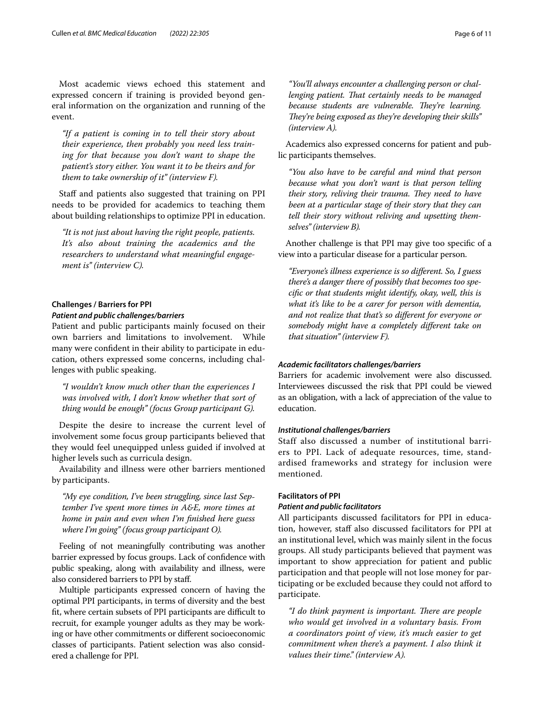Most academic views echoed this statement and expressed concern if training is provided beyond general information on the organization and running of the event.

*"If a patient is coming in to tell their story about their experience, then probably you need less training for that because you don't want to shape the patient's story either. You want it to be theirs and for them to take ownership of it" (interview F).*

Staff and patients also suggested that training on PPI needs to be provided for academics to teaching them about building relationships to optimize PPI in education.

*"It is not just about having the right people, patients. It's also about training the academics and the researchers to understand what meaningful engagement is" (interview C).*

# **Challenges / Barriers for PPI** *Patient and public challenges/barriers*

# Patient and public participants mainly focused on their own barriers and limitations to involvement. While many were confdent in their ability to participate in education, others expressed some concerns, including challenges with public speaking.

*"I wouldn't know much other than the experiences I was involved with, I don't know whether that sort of thing would be enough" (focus Group participant G).*

Despite the desire to increase the current level of involvement some focus group participants believed that they would feel unequipped unless guided if involved at higher levels such as curricula design.

Availability and illness were other barriers mentioned by participants.

*"My eye condition, I've been struggling, since last September I've spent more times in A&E, more times at home in pain and even when I'm fnished here guess where I'm going" (focus group participant O).*

Feeling of not meaningfully contributing was another barrier expressed by focus groups. Lack of confdence with public speaking, along with availability and illness, were also considered barriers to PPI by staf.

Multiple participants expressed concern of having the optimal PPI participants, in terms of diversity and the best fit, where certain subsets of PPI participants are difficult to recruit, for example younger adults as they may be working or have other commitments or diferent socioeconomic classes of participants. Patient selection was also considered a challenge for PPI.

*"You'll always encounter a challenging person or challenging patient. Tat certainly needs to be managed because students are vulnerable. They're learning. They're being exposed as they're developing their skills" (interview A).*

Academics also expressed concerns for patient and public participants themselves.

*"You also have to be careful and mind that person because what you don't want is that person telling their story, reliving their trauma. They need to have been at a particular stage of their story that they can tell their story without reliving and upsetting themselves" (interview B).*

Another challenge is that PPI may give too specifc of a view into a particular disease for a particular person.

*"Everyone's illness experience is so diferent. So, I guess there's a danger there of possibly that becomes too specifc or that students might identify, okay, well, this is what it's like to be a carer for person with dementia, and not realize that that's so diferent for everyone or somebody might have a completely diferent take on that situation" (interview F).*

# *Academic facilitators challenges/barriers*

Barriers for academic involvement were also discussed. Interviewees discussed the risk that PPI could be viewed as an obligation, with a lack of appreciation of the value to education.

#### *Institutional challenges/barriers*

Staff also discussed a number of institutional barriers to PPI. Lack of adequate resources, time, standardised frameworks and strategy for inclusion were mentioned.

## **Facilitators of PPI**

## *Patient and public facilitators*

All participants discussed facilitators for PPI in education, however, staf also discussed facilitators for PPI at an institutional level, which was mainly silent in the focus groups. All study participants believed that payment was important to show appreciation for patient and public participation and that people will not lose money for participating or be excluded because they could not aford to participate.

"I do think payment is important. There are people *who would get involved in a voluntary basis. From a coordinators point of view, it's much easier to get commitment when there's a payment. I also think it values their time." (interview A).*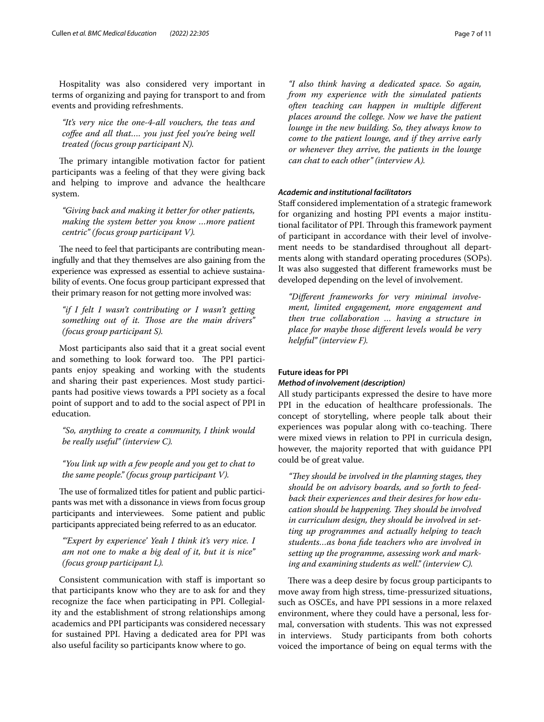Hospitality was also considered very important in terms of organizing and paying for transport to and from events and providing refreshments.

*"It's very nice the one-4-all vouchers, the teas and cofee and all that…. you just feel you're being well treated (focus group participant N).*

The primary intangible motivation factor for patient participants was a feeling of that they were giving back and helping to improve and advance the healthcare system.

*"Giving back and making it better for other patients, making the system better you know …more patient centric" (focus group participant V).*

The need to feel that participants are contributing meaningfully and that they themselves are also gaining from the experience was expressed as essential to achieve sustainability of events. One focus group participant expressed that their primary reason for not getting more involved was:

*"if I felt I wasn't contributing or I wasn't getting*  something out of it. Those are the main drivers" *(focus group participant S).*

Most participants also said that it a great social event and something to look forward too. The PPI participants enjoy speaking and working with the students and sharing their past experiences. Most study participants had positive views towards a PPI society as a focal point of support and to add to the social aspect of PPI in education.

*"So, anything to create a community, I think would be really useful" (interview C).*

*"You link up with a few people and you get to chat to the same people." (focus group participant V).*

The use of formalized titles for patient and public participants was met with a dissonance in views from focus group participants and interviewees. Some patient and public participants appreciated being referred to as an educator.

*"'Expert by experience' Yeah I think it's very nice. I am not one to make a big deal of it, but it is nice" (focus group participant L).*

Consistent communication with staf is important so that participants know who they are to ask for and they recognize the face when participating in PPI. Collegiality and the establishment of strong relationships among academics and PPI participants was considered necessary for sustained PPI. Having a dedicated area for PPI was also useful facility so participants know where to go.

*"I also think having a dedicated space. So again, from my experience with the simulated patients often teaching can happen in multiple diferent places around the college. Now we have the patient lounge in the new building. So, they always know to come to the patient lounge, and if they arrive early or whenever they arrive, the patients in the lounge can chat to each other" (interview A).*

#### *Academic and institutional facilitators*

Staff considered implementation of a strategic framework for organizing and hosting PPI events a major institutional facilitator of PPI. Through this framework payment of participant in accordance with their level of involvement needs to be standardised throughout all departments along with standard operating procedures (SOPs). It was also suggested that diferent frameworks must be developed depending on the level of involvement.

*"Diferent frameworks for very minimal involvement, limited engagement, more engagement and then true collaboration … having a structure in place for maybe those diferent levels would be very helpful" (interview F).*

#### **Future ideas for PPI**

## *Method of involvement (description)*

All study participants expressed the desire to have more PPI in the education of healthcare professionals. The concept of storytelling, where people talk about their experiences was popular along with co-teaching. There were mixed views in relation to PPI in curricula design, however, the majority reported that with guidance PPI could be of great value.

"They should be involved in the planning stages, they *should be on advisory boards, and so forth to feedback their experiences and their desires for how education should be happening. They should be involved in curriculum design, they should be involved in setting up programmes and actually helping to teach students…as bona fde teachers who are involved in setting up the programme, assessing work and marking and examining students as well." (interview C).*

There was a deep desire by focus group participants to move away from high stress, time-pressurized situations, such as OSCEs, and have PPI sessions in a more relaxed environment, where they could have a personal, less formal, conversation with students. This was not expressed in interviews. Study participants from both cohorts voiced the importance of being on equal terms with the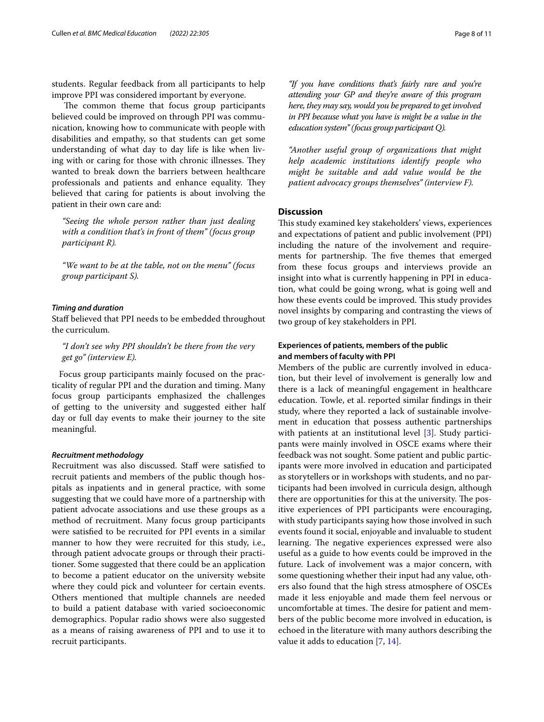students. Regular feedback from all participants to help improve PPI was considered important by everyone.

The common theme that focus group participants believed could be improved on through PPI was communication, knowing how to communicate with people with disabilities and empathy, so that students can get some understanding of what day to day life is like when living with or caring for those with chronic illnesses. They wanted to break down the barriers between healthcare professionals and patients and enhance equality. They believed that caring for patients is about involving the patient in their own care and:

*"Seeing the whole person rather than just dealing with a condition that's in front of them" (focus group participant R).*

*"We want to be at the table, not on the menu" (focus group participant S).*

# *Timing and duration*

Staf believed that PPI needs to be embedded throughout the curriculum.

*"I don't see why PPI shouldn't be there from the very get go" (interview E).*

Focus group participants mainly focused on the practicality of regular PPI and the duration and timing. Many focus group participants emphasized the challenges of getting to the university and suggested either half day or full day events to make their journey to the site meaningful.

#### *Recruitment methodology*

Recruitment was also discussed. Staff were satisfied to recruit patients and members of the public though hospitals as inpatients and in general practice, with some suggesting that we could have more of a partnership with patient advocate associations and use these groups as a method of recruitment. Many focus group participants were satisfed to be recruited for PPI events in a similar manner to how they were recruited for this study, i.e., through patient advocate groups or through their practitioner. Some suggested that there could be an application to become a patient educator on the university website where they could pick and volunteer for certain events. Others mentioned that multiple channels are needed to build a patient database with varied socioeconomic demographics. Popular radio shows were also suggested as a means of raising awareness of PPI and to use it to recruit participants.

*"If you have conditions that's fairly rare and you're attending your GP and they're aware of this program here, they may say, would you be prepared to get involved in PPI because what you have is might be a value in the education system" (focus group participant Q).*

*"Another useful group of organizations that might help academic institutions identify people who might be suitable and add value would be the patient advocacy groups themselves" (interview F).*

# **Discussion**

This study examined key stakeholders' views, experiences and expectations of patient and public involvement (PPI) including the nature of the involvement and requirements for partnership. The five themes that emerged from these focus groups and interviews provide an insight into what is currently happening in PPI in education, what could be going wrong, what is going well and how these events could be improved. This study provides novel insights by comparing and contrasting the views of two group of key stakeholders in PPI.

# **Experiences of patients, members of the public and members of faculty with PPI**

Members of the public are currently involved in education, but their level of involvement is generally low and there is a lack of meaningful engagement in healthcare education. Towle, et al. reported similar fndings in their study, where they reported a lack of sustainable involvement in education that possess authentic partnerships with patients at an institutional level [\[3](#page-10-2)]. Study participants were mainly involved in OSCE exams where their feedback was not sought. Some patient and public participants were more involved in education and participated as storytellers or in workshops with students, and no participants had been involved in curricula design, although there are opportunities for this at the university. The positive experiences of PPI participants were encouraging, with study participants saying how those involved in such events found it social, enjoyable and invaluable to student learning. The negative experiences expressed were also useful as a guide to how events could be improved in the future. Lack of involvement was a major concern, with some questioning whether their input had any value, others also found that the high stress atmosphere of OSCEs made it less enjoyable and made them feel nervous or uncomfortable at times. The desire for patient and members of the public become more involved in education, is echoed in the literature with many authors describing the value it adds to education [[7](#page-10-6), [14\]](#page-10-13).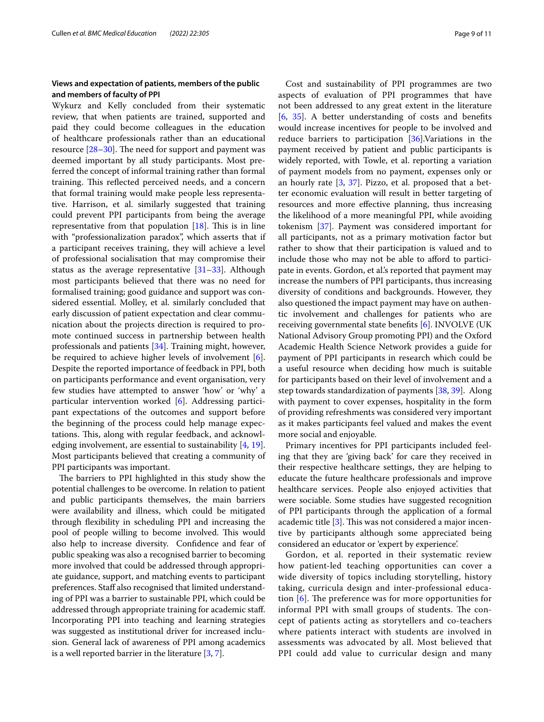# **Views and expectation of patients, members of the public and members of faculty of PPI**

Wykurz and Kelly concluded from their systematic review, that when patients are trained, supported and paid they could become colleagues in the education of healthcare professionals rather than an educational resource  $[28-30]$  $[28-30]$ . The need for support and payment was deemed important by all study participants. Most preferred the concept of informal training rather than formal training. This reflected perceived needs, and a concern that formal training would make people less representative. Harrison, et al. similarly suggested that training could prevent PPI participants from being the average representative from that population  $[18]$  $[18]$ . This is in line with "professionalization paradox", which asserts that if a participant receives training, they will achieve a level of professional socialisation that may compromise their status as the average representative  $[31-33]$  $[31-33]$ . Although most participants believed that there was no need for formalised training; good guidance and support was considered essential. Molley, et al. similarly concluded that early discussion of patient expectation and clear communication about the projects direction is required to promote continued success in partnership between health professionals and patients [\[34\]](#page-10-31). Training might, however, be required to achieve higher levels of involvement [\[6](#page-10-5)]. Despite the reported importance of feedback in PPI, both on participants performance and event organisation, very few studies have attempted to answer 'how' or 'why' a particular intervention worked [[6\]](#page-10-5). Addressing participant expectations of the outcomes and support before the beginning of the process could help manage expectations. This, along with regular feedback, and acknowledging involvement, are essential to sustainability [[4](#page-10-3), [19](#page-10-18)]. Most participants believed that creating a community of PPI participants was important.

The barriers to PPI highlighted in this study show the potential challenges to be overcome. In relation to patient and public participants themselves, the main barriers were availability and illness, which could be mitigated through fexibility in scheduling PPI and increasing the pool of people willing to become involved. This would also help to increase diversity. Confdence and fear of public speaking was also a recognised barrier to becoming more involved that could be addressed through appropriate guidance, support, and matching events to participant preferences. Staff also recognised that limited understanding of PPI was a barrier to sustainable PPI, which could be addressed through appropriate training for academic staf. Incorporating PPI into teaching and learning strategies was suggested as institutional driver for increased inclusion. General lack of awareness of PPI among academics is a well reported barrier in the literature [\[3,](#page-10-2) [7](#page-10-6)].

Cost and sustainability of PPI programmes are two aspects of evaluation of PPI programmes that have not been addressed to any great extent in the literature [[6,](#page-10-5) [35](#page-10-32)]. A better understanding of costs and benefts would increase incentives for people to be involved and reduce barriers to participation  $[36]$  $[36]$ . Variations in the payment received by patient and public participants is widely reported, with Towle, et al. reporting a variation of payment models from no payment, expenses only or an hourly rate [[3,](#page-10-2) [37](#page-10-34)]. Pizzo, et al. proposed that a better economic evaluation will result in better targeting of resources and more efective planning, thus increasing the likelihood of a more meaningful PPI, while avoiding tokenism [\[37](#page-10-34)]. Payment was considered important for all participants, not as a primary motivation factor but rather to show that their participation is valued and to include those who may not be able to aford to participate in events. Gordon, et al.'s reported that payment may increase the numbers of PPI participants, thus increasing diversity of conditions and backgrounds. However, they also questioned the impact payment may have on authentic involvement and challenges for patients who are receiving governmental state benefts [\[6](#page-10-5)]. INVOLVE (UK National Advisory Group promoting PPI) and the Oxford Academic Health Science Network provides a guide for payment of PPI participants in research which could be a useful resource when deciding how much is suitable for participants based on their level of involvement and a step towards standardization of payments [[38,](#page-10-35) [39\]](#page-10-36). Along with payment to cover expenses, hospitality in the form of providing refreshments was considered very important as it makes participants feel valued and makes the event more social and enjoyable.

Primary incentives for PPI participants included feeling that they are 'giving back' for care they received in their respective healthcare settings, they are helping to educate the future healthcare professionals and improve healthcare services. People also enjoyed activities that were sociable. Some studies have suggested recognition of PPI participants through the application of a formal academic title  $[3]$  $[3]$ . This was not considered a major incentive by participants although some appreciated being considered an educator or 'expert by experience'.

Gordon, et al. reported in their systematic review how patient-led teaching opportunities can cover a wide diversity of topics including storytelling, history taking, curricula design and inter-professional education  $[6]$  $[6]$  $[6]$ . The preference was for more opportunities for informal PPI with small groups of students. The concept of patients acting as storytellers and co-teachers where patients interact with students are involved in assessments was advocated by all. Most believed that PPI could add value to curricular design and many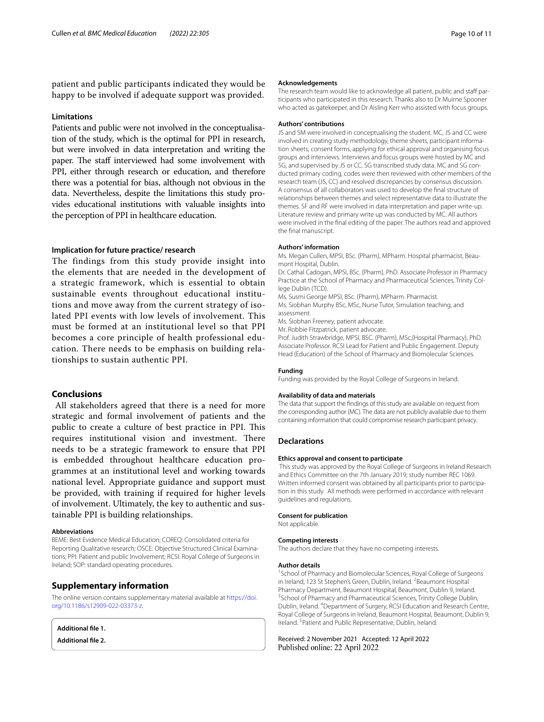patient and public participants indicated they would be happy to be involved if adequate support was provided.

#### **Limitations**

Patients and public were not involved in the conceptualisation of the study, which is the optimal for PPI in research, but were involved in data interpretation and writing the paper. The staff interviewed had some involvement with PPI, either through research or education, and therefore there was a potential for bias, although not obvious in the data. Nevertheless, despite the limitations this study provides educational institutions with valuable insights into the perception of PPI in healthcare education.

#### **Implication for future practice/ research**

The findings from this study provide insight into the elements that are needed in the development of a strategic framework, which is essential to obtain sustainable events throughout educational institutions and move away from the current strategy of isolated PPI events with low levels of involvement. This must be formed at an institutional level so that PPI becomes a core principle of health professional education. There needs to be emphasis on building relationships to sustain authentic PPI.

# **Conclusions**

 All stakeholders agreed that there is a need for more strategic and formal involvement of patients and the public to create a culture of best practice in PPI. This requires institutional vision and investment. There needs to be a strategic framework to ensure that PPI is embedded throughout healthcare education programmes at an institutional level and working towards national level. Appropriate guidance and support must be provided, with training if required for higher levels of involvement. Ultimately, the key to authentic and sustainable PPI is building relationships.

#### **Abbreviations**

BEME: Best Evidence Medical Education; COREQ: Consolidated criteria for Reporting Qualitative research; OSCE: Objective Structured Clinical Examinations; PPI: Patient and public Involvement; RCSI: Royal College of Surgeons in Ireland; SOP: standard operating procedures.

#### **Supplementary information**

The online version contains supplementary material available at [https://doi.](https://doi.org/10.1186/s12909-022-03373-z) [org/10.1186/s12909-022-03373-z.](https://doi.org/10.1186/s12909-022-03373-z)

<span id="page-9-1"></span><span id="page-9-0"></span>**Additional fle 1. Additional fle 2.**

#### **Acknowledgements**

The research team would like to acknowledge all patient, public and staff participants who participated in this research. Thanks also to Dr Muirne Spooner who acted as gatekeeper, and Dr Aisling Kerr who assisted with focus groups.

#### **Authors' contributions**

JS and SM were involved in conceptualising the student. MC, JS and CC were involved in creating study methodology, theme sheets, participant information sheets, consent forms, applying for ethical approval and organising focus groups and interviews. Interviews and focus groups were hosted by MC and SG, and supervised by JS or CC. SG transcribed study data. MC and SG conducted primary coding, codes were then reviewed with other members of the research team (JS, CC) and resolved discrepancies by consensus discussion. A consensus of all collaborators was used to develop the fnal structure of relationships between themes and select representative data to illustrate the themes. SF and RF were involved in data interpretation and paper write-up. Literature review and primary write up was conducted by MC. All authors were involved in the fnal editing of the paper. The authors read and approved the fnal manuscript.

#### **Authors' information**

Ms. Megan Cullen, MPSI, BSc. (Pharm), MPharm. Hospital pharmacist, Beaumont Hospital, Dublin.

Dr. Cathal Cadogan, MPSI, BSc. (Pharm), PhD. Associate Professor in Pharmacy Practice at the School of Pharmacy and Pharmaceutical Sciences, Trinity College Dublin (TCD).

Ms. Susmi George MPSI, BSc. (Pharm), MPharm. Pharmacist.

Ms. Siobhan Murphy BSc, MSc, Nurse Tutor, Simulation teaching, and assessment.

Ms. Siobhan Freeney, patient advocate.

Mr. Robbie Fitzpatrick, patient advocate.

Prof. Judith Strawbridge, MPSI, BSC. (Pharm), MSc,(Hospital Pharmacy), PhD. Associate Professor. RCSI Lead for Patient and Public Engagement. Deputy Head (Education) of the School of Pharmacy and Biomolecular Sciences.

#### **Funding**

Funding was provided by the Royal College of Surgeons in Ireland.

#### **Availability of data and materials**

The data that support the fndings of this study are available on request from the corresponding author (MC). The data are not publicly available due to them containing information that could compromise research participant privacy.

#### **Declarations**

#### **Ethics approval and consent to participate**

 This study was approved by the Royal College of Surgeons in Ireland Research and Ethics Committee on the 7th January 2019; study number REC 1069. Written informed consent was obtained by all participants prior to participation in this study. All methods were performed in accordance with relevant guidelines and regulations.

#### **Consent for publication**

Not applicable. **Competing interests**

# The authors declare that they have no competing interests.

#### **Author details**

<sup>1</sup> School of Pharmacy and Biomolecular Sciences, Royal College of Surgeons in Ireland, 123 St Stephen's Green, Dublin, Ireland. <sup>2</sup> Beaumont Hospital Pharmacy Department, Beaumont Hospital, Beaumont, Dublin 9, Ireland. <sup>3</sup> School of Pharmacy and Pharmaceutical Sciences, Trinity College Dublin, Dublin, Ireland. 4 Department of Surgery, RCSI Education and Research Centre, Royal College of Surgeons in Ireland, Beaumont Hospital, Beaumont, Dublin 9, Ireland. <sup>5</sup> Patient and Public Representative, Dublin, Ireland.

#### Received: 2 November 2021 Accepted: 12 April 2022Published online: 22 April 2022